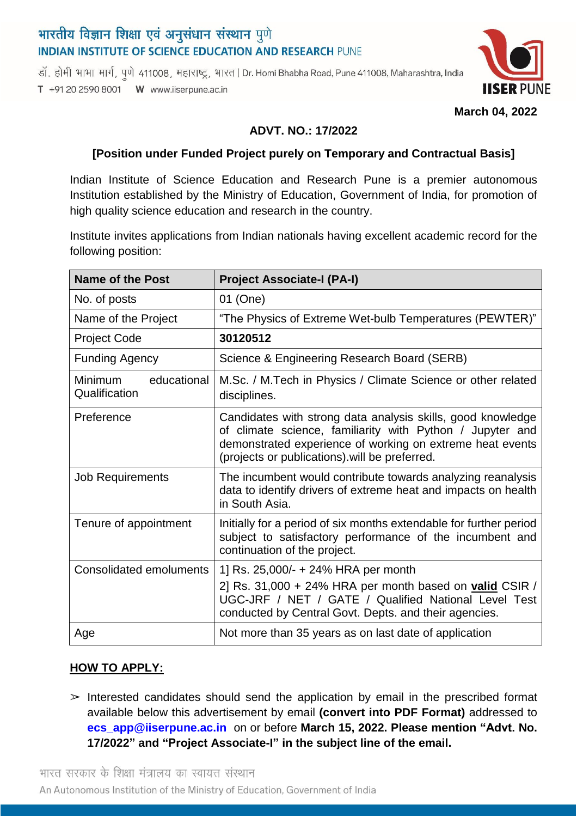# भारतीय विज्ञान शिक्षा एवं अनुसंधान संस्थान पुणे **INDIAN INSTITUTE OF SCIENCE EDUCATION AND RESEARCH PUNE**

डॉ. होमी भाभा मार्ग, पुणे 411008, महाराष्ट्र, भारत | Dr. Homi Bhabha Road, Pune 411008, Maharashtra, India T +91 20 2590 8001 W www.iiserpune.ac.in



**March 04, 2022**

### **ADVT. NO.: 17/2022**

### **[Position under Funded Project purely on Temporary and Contractual Basis]**

Indian Institute of Science Education and Research Pune is a premier autonomous Institution established by the Ministry of Education, Government of India, for promotion of high quality science education and research in the country.

Institute invites applications from Indian nationals having excellent academic record for the following position:

| <b>Name of the Post</b>                        | <b>Project Associate-I (PA-I)</b>                                                                                                                                                                                                      |
|------------------------------------------------|----------------------------------------------------------------------------------------------------------------------------------------------------------------------------------------------------------------------------------------|
| No. of posts                                   | 01 (One)                                                                                                                                                                                                                               |
| Name of the Project                            | "The Physics of Extreme Wet-bulb Temperatures (PEWTER)"                                                                                                                                                                                |
| <b>Project Code</b>                            | 30120512                                                                                                                                                                                                                               |
| <b>Funding Agency</b>                          | Science & Engineering Research Board (SERB)                                                                                                                                                                                            |
| <b>Minimum</b><br>educational<br>Qualification | M.Sc. / M.Tech in Physics / Climate Science or other related<br>disciplines.                                                                                                                                                           |
| Preference                                     | Candidates with strong data analysis skills, good knowledge<br>of climate science, familiarity with Python / Jupyter and<br>demonstrated experience of working on extreme heat events<br>(projects or publications) will be preferred. |
| <b>Job Requirements</b>                        | The incumbent would contribute towards analyzing reanalysis<br>data to identify drivers of extreme heat and impacts on health<br>in South Asia.                                                                                        |
| Tenure of appointment                          | Initially for a period of six months extendable for further period<br>subject to satisfactory performance of the incumbent and<br>continuation of the project.                                                                         |
| <b>Consolidated emoluments</b>                 | 1] Rs. 25,000/- + 24% HRA per month                                                                                                                                                                                                    |
|                                                | 2] Rs. 31,000 + 24% HRA per month based on valid CSIR /<br>UGC-JRF / NET / GATE / Qualified National Level Test<br>conducted by Central Govt. Depts. and their agencies.                                                               |
| Age                                            | Not more than 35 years as on last date of application                                                                                                                                                                                  |

## **HOW TO APPLY:**

 $\geq$  Interested candidates should send the application by email in the prescribed format available below this advertisement by email **(convert into PDF Format)** addressed to **[ecs\\_app@iiserpune.ac.in](mailto:ecs_app@iiserpune.ac.in)** on or before **March 15, 2022. Please mention "Advt. No. 17/2022" and "Project Associate-I" in the subject line of the email.**